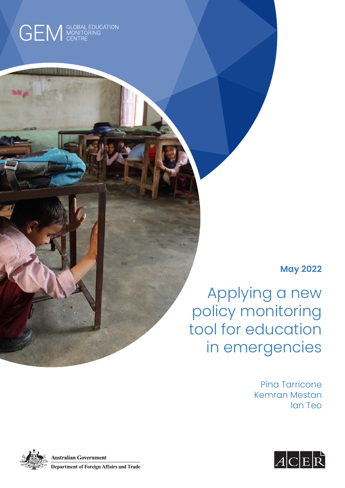

#### **May 2022**

Applying a new policy monitoring tool for education in emergencies

> Pina Tarricone Kemran Mestan Ian Teo



**Australian Government Department of Foreign Affairs and Trade**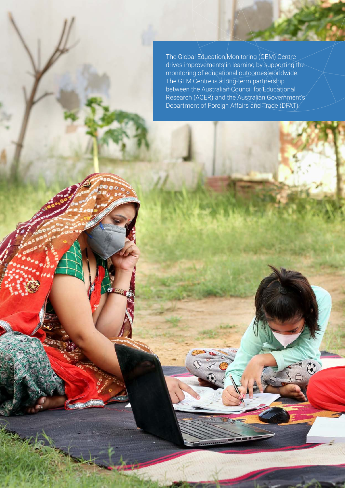The Global Education Monitoring (GEM) Centre drives improvements in learning by supporting the monitoring of educational outcomes worldwide. The GEM Centre is a long-term partnership between the Australian Council for Educational Research (ACER) and the Australian Government's Department of Foreign Affairs and Trade (DFAT).

0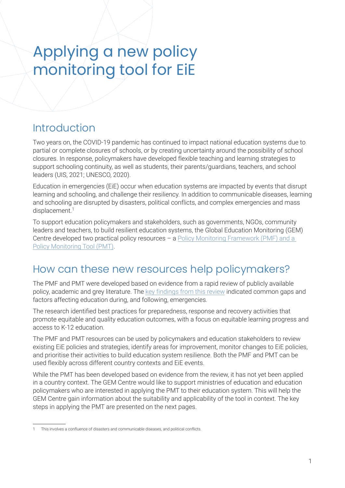# Applying a new policy monitoring tool for EiE

#### Introduction

Two years on, the COVID-19 pandemic has continued to impact national education systems due to partial or complete closures of schools, or by creating uncertainty around the possibility of school closures. In response, policymakers have developed flexible teaching and learning strategies to support schooling continuity, as well as students, their parents/guardians, teachers, and school leaders (UIS, 2021; UNESCO, 2020).

Education in emergencies (EiE) occur when education systems are impacted by events that disrupt learning and schooling, and challenge their resiliency. In addition to communicable diseases, learning and schooling are disrupted by disasters, political conflicts, and complex emergencies and mass displacement.<sup>1</sup>

To support education policymakers and stakeholders, such as governments, NGOs, community leaders and teachers, to build resilient education systems, the Global Education Monitoring (GEM) Centre developed two practical policy resources – a [Policy Monitoring Framework \(PMF\) and a](https://www.acer.org/au/discover/article/a-new-policy-tool-to-help-build-resilient-education-systems)  [Policy Monitoring Tool \(PMT\).](https://www.acer.org/au/discover/article/a-new-policy-tool-to-help-build-resilient-education-systems)

### How can these new resources help policymakers?

The PMF and PMT were developed based on evidence from a rapid review of publicly available policy, academic and grey literature. The [key findings from this review](https://research.acer.edu.au/int_research/4/) indicated common gaps and factors affecting education during, and following, emergencies.

The research identified best practices for preparedness, response and recovery activities that promote equitable and quality education outcomes, with a focus on equitable learning progress and access to K-12 education.

The PMF and PMT resources can be used by policymakers and education stakeholders to review existing EiE policies and strategies, identify areas for improvement, monitor changes to EiE policies, and prioritise their activities to build education system resilience. Both the PMF and PMT can be used flexibly across different country contexts and EiE events.

While the PMT has been developed based on evidence from the review, it has not yet been applied in a country context. The GEM Centre would like to support ministries of education and education policymakers who are interested in applying the PMT to their education system. This will help the GEM Centre gain information about the suitability and applicability of the tool in context. The key steps in applying the PMT are presented on the next pages.

<sup>1</sup> This involves a confluence of disasters and communicable diseases, and political conflicts.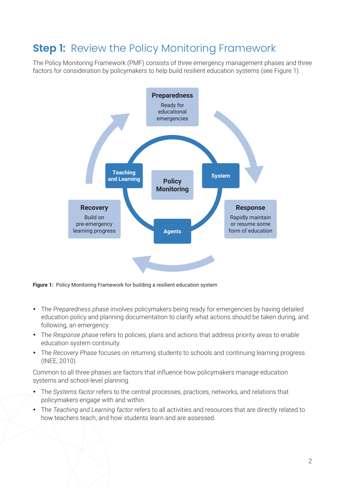# **Step 1:** Review the Policy Monitoring Framework

The Policy Monitoring Framework (PMF) consists of three emergency management phases and three factors for consideration by policymakers to help build resilient education systems (see Figure 1).



**Figure 1:** Policy Monitoring Framework for building a resilient education system

- The *Preparedness phase* involves policymakers being ready for emergencies by having detailed education policy and planning documentation to clarify what actions should be taken during, and following, an emergency.
- The *Response phase* refers to policies, plans and actions that address priority areas to enable education system continuity.
- The *Recovery Phase* focuses on returning students to schools and continuing learning progress (INEE, 2010).

Common to all three phases are factors that influence how policymakers manage education systems and school-level planning.

- The *Systems factor* refers to the central processes, practices, networks, and relations that policymakers engage with and within.
- The *Teaching and Learning factor* refers to all activities and resources that are directly related to how teachers teach, and how students learn and are assessed.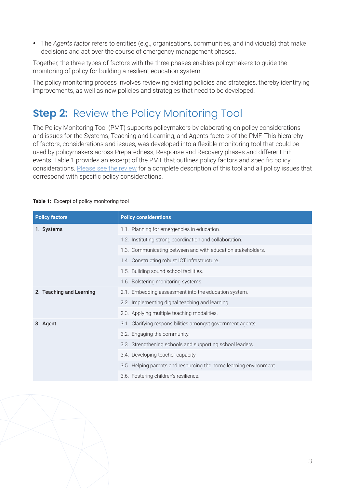• The *Agents factor* refers to entities (e.g., organisations, communities, and individuals) that make decisions and act over the course of emergency management phases.

Together, the three types of factors with the three phases enables policymakers to guide the monitoring of policy for building a resilient education system.

The policy monitoring process involves reviewing existing policies and strategies, thereby identifying improvements, as well as new policies and strategies that need to be developed.

# **Step 2: Review the Policy Monitoring Tool**

The Policy Monitoring Tool (PMT) supports policymakers by elaborating on policy considerations and issues for the Systems, Teaching and Learning, and Agents factors of the PMF. This hierarchy of factors, considerations and issues, was developed into a flexible monitoring tool that could be used by policymakers across Preparedness, Response and Recovery phases and different EiE events. Table 1 provides an excerpt of the PMT that outlines policy factors and specific policy considerations. [Please see the review](https://research.acer.edu.au/int_research/4/) for a complete description of this tool and all policy issues that correspond with specific policy considerations.

| <b>Policy factors</b>    | <b>Policy considerations</b>                                       |  |  |
|--------------------------|--------------------------------------------------------------------|--|--|
| 1. Systems               | 1.1. Planning for emergencies in education.                        |  |  |
|                          | 1.2. Instituting strong coordination and collaboration.            |  |  |
|                          | 1.3. Communicating between and with education stakeholders.        |  |  |
|                          | 1.4. Constructing robust ICT infrastructure.                       |  |  |
|                          | 1.5. Building sound school facilities.                             |  |  |
|                          | 1.6. Bolstering monitoring systems.                                |  |  |
| 2. Teaching and Learning | 2.1. Embedding assessment into the education system.               |  |  |
|                          | 2.2. Implementing digital teaching and learning.                   |  |  |
|                          | 2.3. Applying multiple teaching modalities.                        |  |  |
| 3. Agent                 | 3.1. Clarifying responsibilities amongst government agents.        |  |  |
|                          | 3.2. Engaging the community.                                       |  |  |
|                          | 3.3. Strengthening schools and supporting school leaders.          |  |  |
|                          | 3.4. Developing teacher capacity.                                  |  |  |
|                          | 3.5. Helping parents and resourcing the home learning environment. |  |  |
|                          | 3.6. Fostering children's resilience.                              |  |  |

#### **Table 1:** Excerpt of policy monitoring tool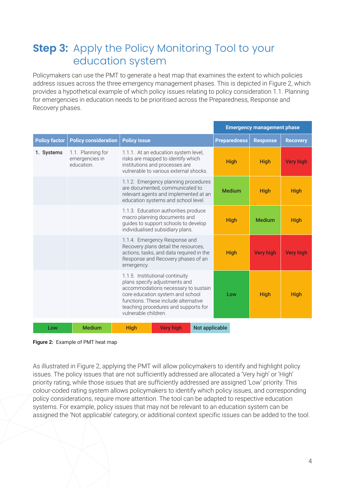#### **Step 3:** Apply the Policy Monitoring Tool to your education system

Policymakers can use the PMT to generate a heat map that examines the extent to which policies address issues across the three emergency management phases. This is depicted in Figure 2, which provides a hypothetical example of which policy issues relating to policy consideration 1.1. Planning for emergencies in education needs to be prioritised across the Preparedness, Response and Recovery phases.

|                      |                                                   |                                                                                                                                                                                                                                                     | <b>Emergency management phase</b> |                  |                  |
|----------------------|---------------------------------------------------|-----------------------------------------------------------------------------------------------------------------------------------------------------------------------------------------------------------------------------------------------------|-----------------------------------|------------------|------------------|
| <b>Policy factor</b> | <b>Policy consideration</b>                       | <b>Policy issue</b>                                                                                                                                                                                                                                 | <b>Preparedness</b>               | <b>Response</b>  | <b>Recovery</b>  |
| 1. Systems           | 1.1. Planning for<br>emergencies in<br>education. | 1.1.1. At an education system level,<br>risks are mapped to identify which<br>institutions and processes are<br>vulnerable to various external shocks.                                                                                              | <b>High</b>                       | <b>High</b>      | <b>Very high</b> |
|                      |                                                   | 1.1.2. Emergency planning procedures<br>are documented, communicated to<br>relevant agents and implemented at an<br>education systems and school level.                                                                                             | <b>Medium</b>                     | <b>High</b>      | <b>High</b>      |
|                      |                                                   | 1.1.3. Education authorities produce<br>macro planning documents and<br>guides to support schools to develop<br>individualised subsidiary plans.                                                                                                    | <b>High</b>                       | <b>Medium</b>    | <b>High</b>      |
|                      |                                                   | 1.1.4. Emergency Response and<br>Recovery plans detail the resources,<br>actions, tasks, and data required in the<br>Response and Recovery phases of an<br>emergency.                                                                               | <b>High</b>                       | <b>Very high</b> | <b>Very high</b> |
|                      |                                                   | 1.1.5. Institutional continuity<br>plans specify adjustments and<br>accommodations necessary to sustain<br>core education system and school<br>functions. These include alternative<br>teaching procedures and supports for<br>vulnerable children. | Low                               | <b>High</b>      | <b>High</b>      |
| Low                  | <b>Medium</b>                                     | <b>High</b><br><b>Very high</b><br>Not applicable                                                                                                                                                                                                   |                                   |                  |                  |

**Figure 2:** Example of PMT heat map

As illustrated in Figure 2, applying the PMT will allow policymakers to identify and highlight policy issues. The policy issues that are not sufficiently addressed are allocated a 'Very high' or 'High' priority rating, while those issues that are sufficiently addressed are assigned 'Low' priority. This colour-coded rating system allows policymakers to identify which policy issues, and corresponding policy considerations, require more attention. The tool can be adapted to respective education systems. For example, policy issues that may not be relevant to an education system can be assigned the 'Not applicable' category, or additional context specific issues can be added to the tool.